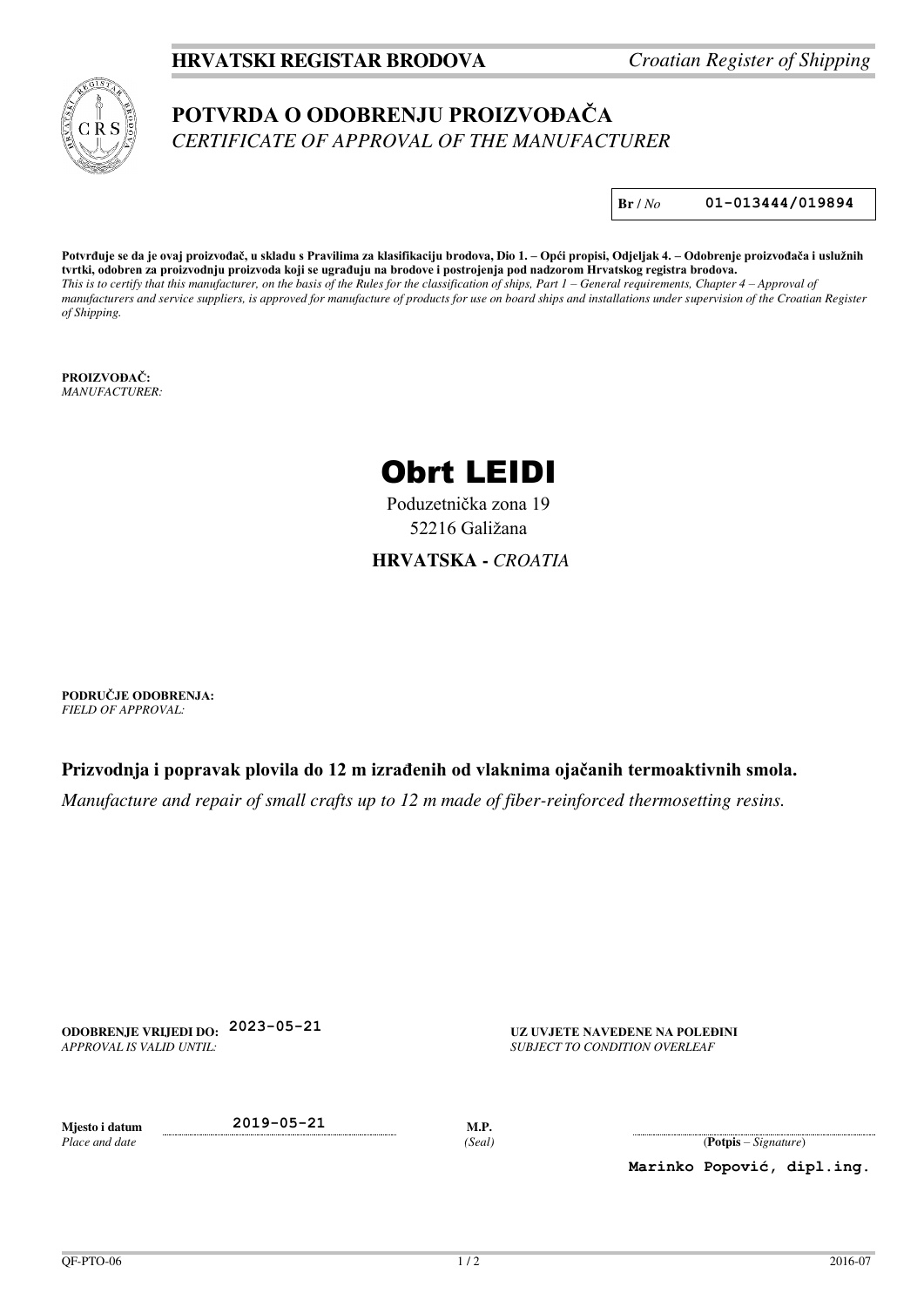## **HRVATSKI REGISTAR BRODOVA** *Croatian Register of Shipping*

# **POTVRDA O ODOBRENJU PROIZVOĐAČA** *CERTIFICATE OF APPROVAL OF THE MANUFACTURER*

**Br** / *No* **01-013444/019894**

**Potvrđuje se da je ovaj proizvođač, u skladu s Pravilima za klasifikaciju brodova, Dio 1. – Opći propisi, Odjeljak 4. – Odobrenje proizvođača i uslužnih tvrtki, odobren za proizvodnju proizvoda koji se ugrađuju na brodove i postrojenja pod nadzorom Hrvatskog registra brodova.** *This is to certify that this manufacturer, on the basis of the Rules for the classification of ships, Part 1 – General requirements, Chapter 4 – Approval of manufacturers and service suppliers, is approved for manufacture of products for use on board ships and installations under supervision of the Croatian Register of Shipping.*

**PROIZVOĐAČ:** *MANUFACTURER:* 



Poduzetnička zona 19 52216 Galižana

#### **HRVATSKA -** *CROATIA*

**PODRUČJE ODOBRENJA:** *FIELD OF APPROVAL:* 

**Prizvodnja i popravak plovila do 12 m izrađenih od vlaknima ojačanih termoaktivnih smola.**

*Manufacture and repair of small crafts up to 12 m made of fiber-reinforced thermosetting resins.*

**ODOBRENJE VRIJEDI DO: 2023-05-21 UZ UVJETE NAVEDENE NA POLEĐINI** *APPROVAL IS VALID UNTIL:* 

*SUBJECT TO CONDITION OVERLEAF* 

*Place and date* 

**Mjesto i datum 2019-05-21 M.P.** 

*(Seal)* (**Potpis** – *Signature*)

**Marinko Popović, dipl.ing.**